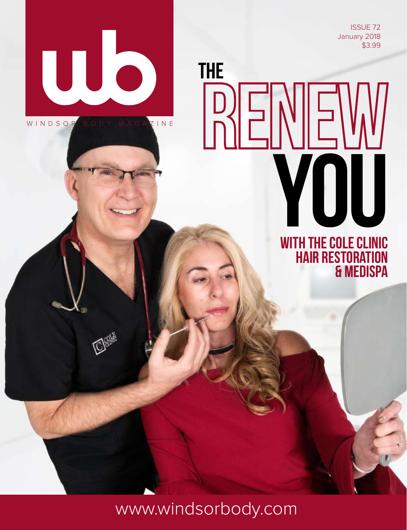ISSUE 72 January 2018 \$3.99



WINDSOR BODY MAGAZINE

MAGAZINE WERE SERVED ON A 49-YEAR-OLD MAGAZINE

MAGAZINE

RENEW with The Cole Clinic Hair Restoration & MEDISPA

www.windsorbody.com

THE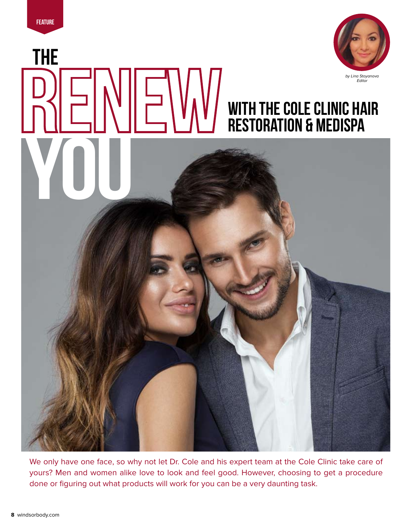THE

WOU W



## with The Cole Clinic Hair Restoration & MEDISPA

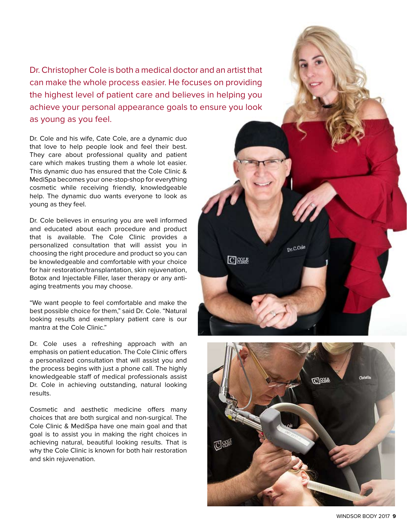Dr. Christopher Cole is both a medical doctor and an artist that can make the whole process easier. He focuses on providing the highest level of patient care and believes in helping you achieve your personal appearance goals to ensure you look as young as you feel.

Dr. Cole and his wife, Cate Cole, are a dynamic duo that love to help people look and feel their best. They care about professional quality and patient care which makes trusting them a whole lot easier. This dynamic duo has ensured that the Cole Clinic & MediSpa becomes your one-stop-shop for everything cosmetic while receiving friendly, knowledgeable help. The dynamic duo wants everyone to look as young as they feel.

Dr. Cole believes in ensuring you are well informed and educated about each procedure and product that is available. The Cole Clinic provides a personalized consultation that will assist you in choosing the right procedure and product so you can be knowledgeable and comfortable with your choice for hair restoration/transplantation, skin rejuvenation, Botox and Injectable Filler, laser therapy or any antiaging treatments you may choose.

"We want people to feel comfortable and make the best possible choice for them," said Dr. Cole. "Natural looking results and exemplary patient care is our mantra at the Cole Clinic."

Dr. Cole uses a refreshing approach with an emphasis on patient education. The Cole Clinic offers a personalized consultation that will assist you and the process begins with just a phone call. The highly knowledgeable staff of medical professionals assist Dr. Cole in achieving outstanding, natural looking results.

Cosmetic and aesthetic medicine offers many choices that are both surgical and non-surgical. The Cole Clinic & MediSpa have one main goal and that goal is to assist you in making the right choices in achieving natural, beautiful looking results. That is why the Cole Clinic is known for both hair restoration and skin rejuvenation.



Dr.C.Cole

□89話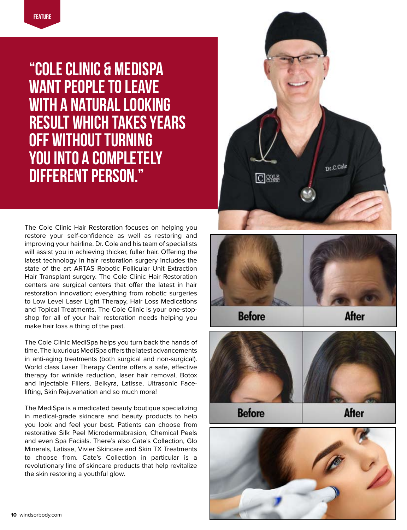"Cole Clinic & MediSpa want people to leave with a natural looking result which takes years off without turning YOU INTO A COMPLETELY different person."

The Cole Clinic Hair Restoration focuses on helping you restore your self-confidence as well as restoring and improving your hairline. Dr. Cole and his team of specialists will assist you in achieving thicker, fuller hair. Offering the latest technology in hair restoration surgery includes the state of the art ARTAS Robotic Follicular Unit Extraction Hair Transplant surgery. The Cole Clinic Hair Restoration centers are surgical centers that offer the latest in hair restoration innovation; everything from robotic surgeries to Low Level Laser Light Therapy, Hair Loss Medications and Topical Treatments. The Cole Clinic is your one-stopshop for all of your hair restoration needs helping you make hair loss a thing of the past.

The Cole Clinic MediSpa helps you turn back the hands of time. The luxurious MediSpa offers the latest advancements in anti-aging treatments (both surgical and non-surgical). World class Laser Therapy Centre offers a safe, effective therapy for wrinkle reduction, laser hair removal, Botox and Injectable Fillers, Belkyra, Latisse, Ultrasonic Facelifting, Skin Rejuvenation and so much more!

The MediSpa is a medicated beauty boutique specializing in medical-grade skincare and beauty products to help you look and feel your best. Patients can choose from restorative Silk Peel Microdermabrasion, Chemical Peels and even Spa Facials. There's also Cate's Collection, Glo Minerals, Latisse, Vivier Skincare and Skin TX Treatments to choose from. Cate's Collection in particular is a revolutionary line of skincare products that help revitalize the skin restoring a youthful glow.





**Before** 

**After** 



**Before** 

**After**